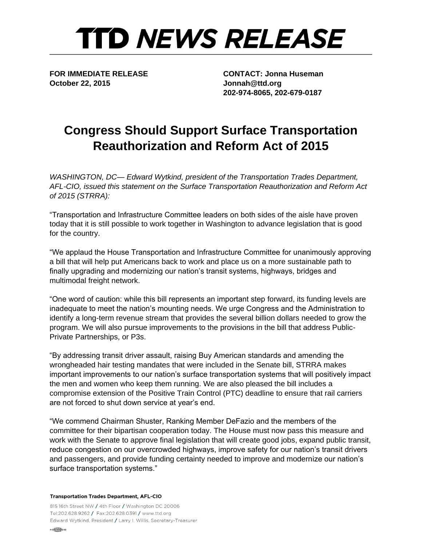## **TTD NEWS RELEASE**

**October 22, 2015 Jonnah@ttd.org**

**FOR IMMEDIATE RELEASE CONTACT: Jonna Huseman 202-974-8065, 202-679-0187**

## **Congress Should Support Surface Transportation Reauthorization and Reform Act of 2015**

*WASHINGTON, DC— Edward Wytkind, president of the Transportation Trades Department, AFL-CIO, issued this statement on the Surface Transportation Reauthorization and Reform Act of 2015 (STRRA):* 

"Transportation and Infrastructure Committee leaders on both sides of the aisle have proven today that it is still possible to work together in Washington to advance legislation that is good for the country.

"We applaud the House Transportation and Infrastructure Committee for unanimously approving a bill that will help put Americans back to work and place us on a more sustainable path to finally upgrading and modernizing our nation's transit systems, highways, bridges and multimodal freight network.

"One word of caution: while this bill represents an important step forward, its funding levels are inadequate to meet the nation's mounting needs. We urge Congress and the Administration to identify a long-term revenue stream that provides the several billion dollars needed to grow the program. We will also pursue improvements to the provisions in the bill that address Public-Private Partnerships, or P3s.

"By addressing transit driver assault, raising Buy American standards and amending the wrongheaded hair testing mandates that were included in the Senate bill, STRRA makes important improvements to our nation's surface transportation systems that will positively impact the men and women who keep them running. We are also pleased the bill includes a compromise extension of the Positive Train Control (PTC) deadline to ensure that rail carriers are not forced to shut down service at year's end.

"We commend Chairman Shuster, Ranking Member DeFazio and the members of the committee for their bipartisan cooperation today. The House must now pass this measure and work with the Senate to approve final legislation that will create good jobs, expand public transit, reduce congestion on our overcrowded highways, improve safety for our nation's transit drivers and passengers, and provide funding certainty needed to improve and modernize our nation's surface transportation systems."

**Transportation Trades Department, AFL-CIO** 

815 16th Street NW / 4th Floor / Washington DC 20006 Tel:202.628.9262 / Fax:202.628.0391 / www.ttd.org Edward Wytkind, President / Larry I. Willis, Secretary-Treasurer